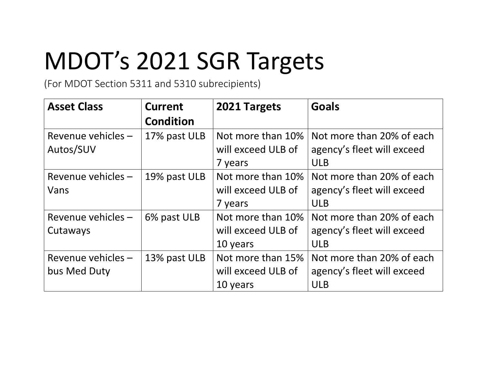## MDOT's 2021 SGR Targets

(For MDOT Section 5311 and 5310 subrecipients)

| <b>Asset Class</b>                 | <b>Current</b><br><b>Condition</b> | 2021 Targets                                        | <b>Goals</b>                                                          |
|------------------------------------|------------------------------------|-----------------------------------------------------|-----------------------------------------------------------------------|
| Revenue vehicles -<br>Autos/SUV    | 17% past ULB                       | Not more than 10%<br>will exceed ULB of<br>7 years  | Not more than 20% of each<br>agency's fleet will exceed<br><b>ULB</b> |
| Revenue vehicles -<br>Vans         | 19% past ULB                       | Not more than 10%<br>will exceed ULB of<br>7 years  | Not more than 20% of each<br>agency's fleet will exceed<br><b>ULB</b> |
| Revenue vehicles -<br>Cutaways     | 6% past ULB                        | Not more than 10%<br>will exceed ULB of<br>10 years | Not more than 20% of each<br>agency's fleet will exceed<br><b>ULB</b> |
| Revenue vehicles -<br>bus Med Duty | 13% past ULB                       | Not more than 15%<br>will exceed ULB of<br>10 years | Not more than 20% of each<br>agency's fleet will exceed<br><b>ULB</b> |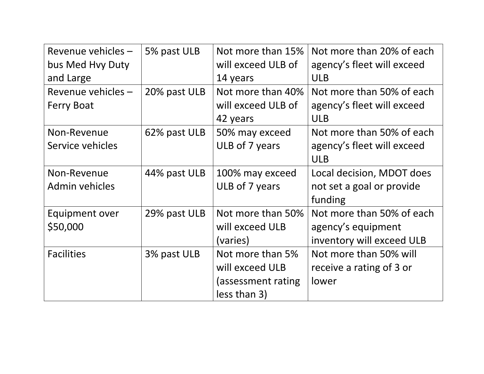| Revenue vehicles - | 5% past ULB  | Not more than 15%  | Not more than 20% of each  |
|--------------------|--------------|--------------------|----------------------------|
| bus Med Hvy Duty   |              | will exceed ULB of | agency's fleet will exceed |
| and Large          |              | 14 years           | <b>ULB</b>                 |
| Revenue vehicles - | 20% past ULB | Not more than 40%  | Not more than 50% of each  |
| <b>Ferry Boat</b>  |              | will exceed ULB of | agency's fleet will exceed |
|                    |              | 42 years           | <b>ULB</b>                 |
| Non-Revenue        | 62% past ULB | 50% may exceed     | Not more than 50% of each  |
| Service vehicles   |              | ULB of 7 years     | agency's fleet will exceed |
|                    |              |                    | <b>ULB</b>                 |
| Non-Revenue        | 44% past ULB | 100% may exceed    | Local decision, MDOT does  |
| Admin vehicles     |              | ULB of 7 years     | not set a goal or provide  |
|                    |              |                    | funding                    |
| Equipment over     | 29% past ULB | Not more than 50%  | Not more than 50% of each  |
| \$50,000           |              | will exceed ULB    | agency's equipment         |
|                    |              | (varies)           | inventory will exceed ULB  |
| <b>Facilities</b>  | 3% past ULB  | Not more than 5%   | Not more than 50% will     |
|                    |              | will exceed ULB    | receive a rating of 3 or   |
|                    |              | (assessment rating | lower                      |
|                    |              | less than 3)       |                            |